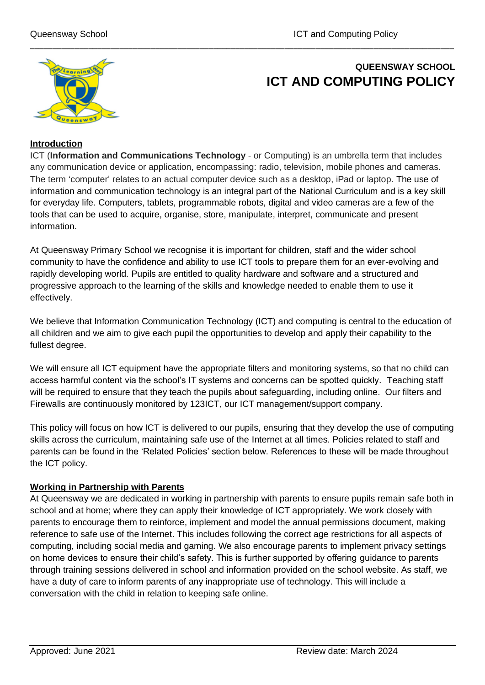

# **QUEENSWAY SCHOOL ICT AND COMPUTING POLICY**

## **Introduction**

ICT (**Information and Communications Technology** - or Computing) is an umbrella term that includes any communication device or application, encompassing: radio, television, mobile phones and cameras. The term 'computer' relates to an actual computer device such as a desktop, iPad or laptop. The use of information and communication technology is an integral part of the National Curriculum and is a key skill for everyday life. Computers, tablets, programmable robots, digital and video cameras are a few of the tools that can be used to acquire, organise, store, manipulate, interpret, communicate and present information.

\_\_\_\_\_\_\_\_\_\_\_\_\_\_\_\_\_\_\_\_\_\_\_\_\_\_\_\_\_\_\_\_\_\_\_\_\_\_\_\_\_\_\_\_\_\_\_\_\_\_\_\_\_\_\_\_\_\_\_\_\_\_\_\_\_\_\_\_\_\_\_\_\_\_\_\_\_\_\_\_\_\_\_\_\_\_\_\_\_\_\_\_\_\_\_

At Queensway Primary School we recognise it is important for children, staff and the wider school community to have the confidence and ability to use ICT tools to prepare them for an ever-evolving and rapidly developing world. Pupils are entitled to quality hardware and software and a structured and progressive approach to the learning of the skills and knowledge needed to enable them to use it effectively.

We believe that Information Communication Technology (ICT) and computing is central to the education of all children and we aim to give each pupil the opportunities to develop and apply their capability to the fullest degree.

We will ensure all ICT equipment have the appropriate filters and monitoring systems, so that no child can access harmful content via the school's IT systems and concerns can be spotted quickly. Teaching staff will be required to ensure that they teach the pupils about safeguarding, including online. Our filters and Firewalls are continuously monitored by 123ICT, our ICT management/support company.

This policy will focus on how ICT is delivered to our pupils, ensuring that they develop the use of computing skills across the curriculum, maintaining safe use of the Internet at all times. Policies related to staff and parents can be found in the 'Related Policies' section below. References to these will be made throughout the ICT policy.

#### **Working in Partnership with Parents**

At Queensway we are dedicated in working in partnership with parents to ensure pupils remain safe both in school and at home; where they can apply their knowledge of ICT appropriately. We work closely with parents to encourage them to reinforce, implement and model the annual permissions document, making reference to safe use of the Internet. This includes following the correct age restrictions for all aspects of computing, including social media and gaming. We also encourage parents to implement privacy settings on home devices to ensure their child's safety. This is further supported by offering guidance to parents through training sessions delivered in school and information provided on the school website. As staff, we have a duty of care to inform parents of any inappropriate use of technology. This will include a conversation with the child in relation to keeping safe online.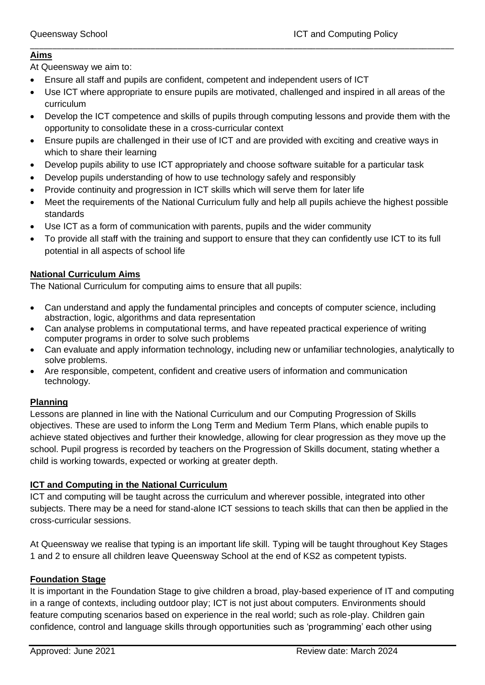#### \_\_\_\_\_\_\_\_\_\_\_\_\_\_\_\_\_\_\_\_\_\_\_\_\_\_\_\_\_\_\_\_\_\_\_\_\_\_\_\_\_\_\_\_\_\_\_\_\_\_\_\_\_\_\_\_\_\_\_\_\_\_\_\_\_\_\_\_\_\_\_\_\_\_\_\_\_\_\_\_\_\_\_\_\_\_\_\_\_\_\_\_\_\_\_ **Aims**

At Queensway we aim to:

- Ensure all staff and pupils are confident, competent and independent users of ICT
- Use ICT where appropriate to ensure pupils are motivated, challenged and inspired in all areas of the curriculum
- Develop the ICT competence and skills of pupils through computing lessons and provide them with the opportunity to consolidate these in a cross-curricular context
- Ensure pupils are challenged in their use of ICT and are provided with exciting and creative ways in which to share their learning
- Develop pupils ability to use ICT appropriately and choose software suitable for a particular task
- Develop pupils understanding of how to use technology safely and responsibly
- Provide continuity and progression in ICT skills which will serve them for later life
- Meet the requirements of the National Curriculum fully and help all pupils achieve the highest possible standards
- Use ICT as a form of communication with parents, pupils and the wider community
- To provide all staff with the training and support to ensure that they can confidently use ICT to its full potential in all aspects of school life

## **National Curriculum Aims**

The National Curriculum for computing aims to ensure that all pupils:

- Can understand and apply the fundamental principles and concepts of computer science, including abstraction, logic, algorithms and data representation
- Can analyse problems in computational terms, and have repeated practical experience of writing computer programs in order to solve such problems
- Can evaluate and apply information technology, including new or unfamiliar technologies, analytically to solve problems.
- Are responsible, competent, confident and creative users of information and communication technology.

## **Planning**

Lessons are planned in line with the National Curriculum and our Computing Progression of Skills objectives. These are used to inform the Long Term and Medium Term Plans, which enable pupils to achieve stated objectives and further their knowledge, allowing for clear progression as they move up the school. Pupil progress is recorded by teachers on the Progression of Skills document, stating whether a child is working towards, expected or working at greater depth.

## **ICT and Computing in the National Curriculum**

ICT and computing will be taught across the curriculum and wherever possible, integrated into other subjects. There may be a need for stand-alone ICT sessions to teach skills that can then be applied in the cross-curricular sessions.

At Queensway we realise that typing is an important life skill. Typing will be taught throughout Key Stages 1 and 2 to ensure all children leave Queensway School at the end of KS2 as competent typists.

## **Foundation Stage**

It is important in the Foundation Stage to give children a broad, play-based experience of IT and computing in a range of contexts, including outdoor play; ICT is not just about computers. Environments should feature computing scenarios based on experience in the real world; such as role-play. Children gain confidence, control and language skills through opportunities such as 'programming' each other using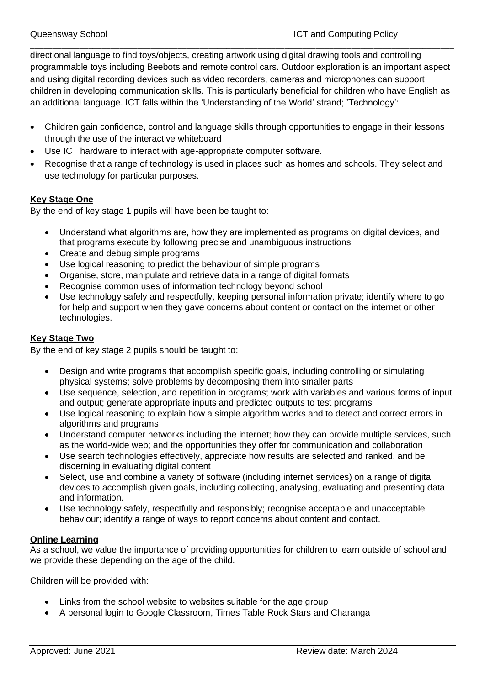\_\_\_\_\_\_\_\_\_\_\_\_\_\_\_\_\_\_\_\_\_\_\_\_\_\_\_\_\_\_\_\_\_\_\_\_\_\_\_\_\_\_\_\_\_\_\_\_\_\_\_\_\_\_\_\_\_\_\_\_\_\_\_\_\_\_\_\_\_\_\_\_\_\_\_\_\_\_\_\_\_\_\_\_\_\_\_\_\_\_\_\_\_\_\_ directional language to find toys/objects, creating artwork using digital drawing tools and controlling programmable toys including Beebots and remote control cars. Outdoor exploration is an important aspect and using digital recording devices such as video recorders, cameras and microphones can support children in developing communication skills. This is particularly beneficial for children who have English as an additional language. ICT falls within the 'Understanding of the World' strand; 'Technology':

- Children gain confidence, control and language skills through opportunities to engage in their lessons through the use of the interactive whiteboard
- Use ICT hardware to interact with age-appropriate computer software.
- Recognise that a range of technology is used in places such as homes and schools. They select and use technology for particular purposes.

#### **Key Stage One**

By the end of key stage 1 pupils will have been be taught to:

- Understand what algorithms are, how they are implemented as programs on digital devices, and that programs execute by following precise and unambiguous instructions
- Create and debug simple programs
- Use logical reasoning to predict the behaviour of simple programs
- Organise, store, manipulate and retrieve data in a range of digital formats
- Recognise common uses of information technology beyond school
- Use technology safely and respectfully, keeping personal information private; identify where to go for help and support when they gave concerns about content or contact on the internet or other technologies.

## **Key Stage Two**

By the end of key stage 2 pupils should be taught to:

- Design and write programs that accomplish specific goals, including controlling or simulating physical systems; solve problems by decomposing them into smaller parts
- Use sequence, selection, and repetition in programs; work with variables and various forms of input and output; generate appropriate inputs and predicted outputs to test programs
- Use logical reasoning to explain how a simple algorithm works and to detect and correct errors in algorithms and programs
- Understand computer networks including the internet; how they can provide multiple services, such as the world-wide web; and the opportunities they offer for communication and collaboration
- Use search technologies effectively, appreciate how results are selected and ranked, and be discerning in evaluating digital content
- Select, use and combine a variety of software (including internet services) on a range of digital devices to accomplish given goals, including collecting, analysing, evaluating and presenting data and information.
- Use technology safely, respectfully and responsibly; recognise acceptable and unacceptable behaviour; identify a range of ways to report concerns about content and contact.

#### **Online Learning**

As a school, we value the importance of providing opportunities for children to learn outside of school and we provide these depending on the age of the child.

Children will be provided with:

- Links from the school website to websites suitable for the age group
- A personal login to Google Classroom, Times Table Rock Stars and Charanga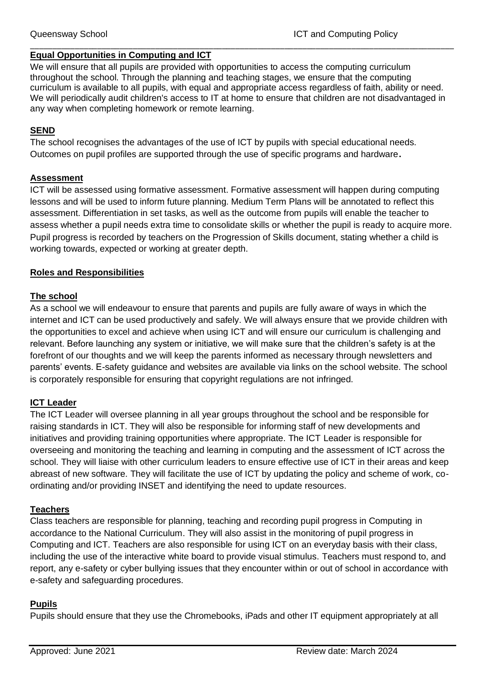## **Equal Opportunities in Computing and ICT**

We will ensure that all pupils are provided with opportunities to access the computing curriculum throughout the school. Through the planning and teaching stages, we ensure that the computing curriculum is available to all pupils, with equal and appropriate access regardless of faith, ability or need. We will periodically audit children's access to IT at home to ensure that children are not disadvantaged in any way when completing homework or remote learning.

\_\_\_\_\_\_\_\_\_\_\_\_\_\_\_\_\_\_\_\_\_\_\_\_\_\_\_\_\_\_\_\_\_\_\_\_\_\_\_\_\_\_\_\_\_\_\_\_\_\_\_\_\_\_\_\_\_\_\_\_\_\_\_\_\_\_\_\_\_\_\_\_\_\_\_\_\_\_\_\_\_\_\_\_\_\_\_\_\_\_\_\_\_\_\_

## **SEND**

The school recognises the advantages of the use of ICT by pupils with special educational needs. Outcomes on pupil profiles are supported through the use of specific programs and hardware**.**

#### **Assessment**

ICT will be assessed using formative assessment. Formative assessment will happen during computing lessons and will be used to inform future planning. Medium Term Plans will be annotated to reflect this assessment. Differentiation in set tasks, as well as the outcome from pupils will enable the teacher to assess whether a pupil needs extra time to consolidate skills or whether the pupil is ready to acquire more. Pupil progress is recorded by teachers on the Progression of Skills document, stating whether a child is working towards, expected or working at greater depth.

#### **Roles and Responsibilities**

#### **The school**

As a school we will endeavour to ensure that parents and pupils are fully aware of ways in which the internet and ICT can be used productively and safely. We will always ensure that we provide children with the opportunities to excel and achieve when using ICT and will ensure our curriculum is challenging and relevant. Before launching any system or initiative, we will make sure that the children's safety is at the forefront of our thoughts and we will keep the parents informed as necessary through newsletters and parents' events. E-safety guidance and websites are available via links on the school website. The school is corporately responsible for ensuring that copyright regulations are not infringed.

## **ICT Leader**

The ICT Leader will oversee planning in all year groups throughout the school and be responsible for raising standards in ICT. They will also be responsible for informing staff of new developments and initiatives and providing training opportunities where appropriate. The ICT Leader is responsible for overseeing and monitoring the teaching and learning in computing and the assessment of ICT across the school. They will liaise with other curriculum leaders to ensure effective use of ICT in their areas and keep abreast of new software. They will facilitate the use of ICT by updating the policy and scheme of work, coordinating and/or providing INSET and identifying the need to update resources.

#### **Teachers**

Class teachers are responsible for planning, teaching and recording pupil progress in Computing in accordance to the National Curriculum. They will also assist in the monitoring of pupil progress in Computing and ICT. Teachers are also responsible for using ICT on an everyday basis with their class, including the use of the interactive white board to provide visual stimulus. Teachers must respond to, and report, any e-safety or cyber bullying issues that they encounter within or out of school in accordance with e-safety and safeguarding procedures.

#### **Pupils**

Pupils should ensure that they use the Chromebooks, iPads and other IT equipment appropriately at all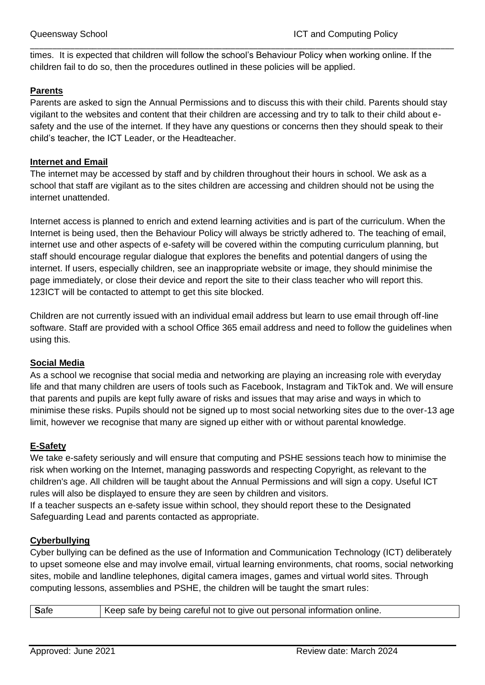times. It is expected that children will follow the school's Behaviour Policy when working online. If the children fail to do so, then the procedures outlined in these policies will be applied.

\_\_\_\_\_\_\_\_\_\_\_\_\_\_\_\_\_\_\_\_\_\_\_\_\_\_\_\_\_\_\_\_\_\_\_\_\_\_\_\_\_\_\_\_\_\_\_\_\_\_\_\_\_\_\_\_\_\_\_\_\_\_\_\_\_\_\_\_\_\_\_\_\_\_\_\_\_\_\_\_\_\_\_\_\_\_\_\_\_\_\_\_\_\_\_

#### **Parents**

Parents are asked to sign the Annual Permissions and to discuss this with their child. Parents should stay vigilant to the websites and content that their children are accessing and try to talk to their child about esafety and the use of the internet. If they have any questions or concerns then they should speak to their child's teacher, the ICT Leader, or the Headteacher.

#### **Internet and Email**

The internet may be accessed by staff and by children throughout their hours in school. We ask as a school that staff are vigilant as to the sites children are accessing and children should not be using the internet unattended.

Internet access is planned to enrich and extend learning activities and is part of the curriculum. When the Internet is being used, then the Behaviour Policy will always be strictly adhered to. The teaching of email, internet use and other aspects of e-safety will be covered within the computing curriculum planning, but staff should encourage regular dialogue that explores the benefits and potential dangers of using the internet. If users, especially children, see an inappropriate website or image, they should minimise the page immediately, or close their device and report the site to their class teacher who will report this. 123ICT will be contacted to attempt to get this site blocked.

Children are not currently issued with an individual email address but learn to use email through off-line software. Staff are provided with a school Office 365 email address and need to follow the guidelines when using this.

#### **Social Media**

As a school we recognise that social media and networking are playing an increasing role with everyday life and that many children are users of tools such as Facebook, Instagram and TikTok and. We will ensure that parents and pupils are kept fully aware of risks and issues that may arise and ways in which to minimise these risks. Pupils should not be signed up to most social networking sites due to the over-13 age limit, however we recognise that many are signed up either with or without parental knowledge.

## **E-Safety**

We take e-safety seriously and will ensure that computing and PSHE sessions teach how to minimise the risk when working on the Internet, managing passwords and respecting Copyright, as relevant to the children's age. All children will be taught about the Annual Permissions and will sign a copy. Useful ICT rules will also be displayed to ensure they are seen by children and visitors.

If a teacher suspects an e-safety issue within school, they should report these to the Designated Safeguarding Lead and parents contacted as appropriate.

## **Cyberbullying**

Cyber bullying can be defined as the use of Information and Communication Technology (ICT) deliberately to upset someone else and may involve email, virtual learning environments, chat rooms, social networking sites, mobile and landline telephones, digital camera images, games and virtual world sites. Through computing lessons, assemblies and PSHE, the children will be taught the smart rules:

| Safe<br>Keep safe by being careful not to give out personal information online. |  |
|---------------------------------------------------------------------------------|--|
|---------------------------------------------------------------------------------|--|